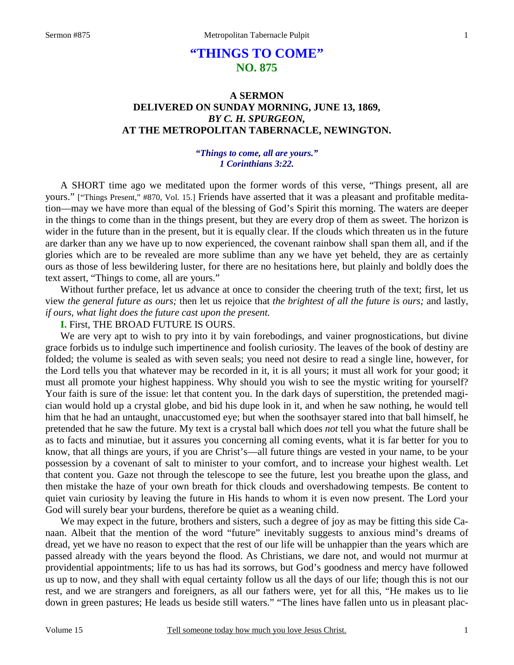# **"THINGS TO COME" NO. 875**

## **A SERMON DELIVERED ON SUNDAY MORNING, JUNE 13, 1869,**  *BY C. H. SPURGEON,*  **AT THE METROPOLITAN TABERNACLE, NEWINGTON.**

### *"Things to come, all are yours." 1 Corinthians 3:22.*

 A SHORT time ago we meditated upon the former words of this verse, "Things present, all are yours." ["Things Present," #870, Vol. 15.] Friends have asserted that it was a pleasant and profitable meditation—may we have more than equal of the blessing of God's Spirit this morning. The waters are deeper in the things to come than in the things present, but they are every drop of them as sweet. The horizon is wider in the future than in the present, but it is equally clear. If the clouds which threaten us in the future are darker than any we have up to now experienced, the covenant rainbow shall span them all, and if the glories which are to be revealed are more sublime than any we have yet beheld, they are as certainly ours as those of less bewildering luster, for there are no hesitations here, but plainly and boldly does the text assert, "Things to come, all are yours."

 Without further preface, let us advance at once to consider the cheering truth of the text; first, let us view *the general future as ours;* then let us rejoice that *the brightest of all the future is ours;* and lastly, *if ours, what light does the future cast upon the present.* 

**I.** First, THE BROAD FUTURE IS OURS.

 We are very apt to wish to pry into it by vain forebodings, and vainer prognostications, but divine grace forbids us to indulge such impertinence and foolish curiosity. The leaves of the book of destiny are folded; the volume is sealed as with seven seals; you need not desire to read a single line, however, for the Lord tells you that whatever may be recorded in it, it is all yours; it must all work for your good; it must all promote your highest happiness. Why should you wish to see the mystic writing for yourself? Your faith is sure of the issue: let that content you. In the dark days of superstition, the pretended magician would hold up a crystal globe, and bid his dupe look in it, and when he saw nothing, he would tell him that he had an untaught, unaccustomed eye; but when the soothsayer stared into that ball himself, he pretended that he saw the future. My text is a crystal ball which does *not* tell you what the future shall be as to facts and minutiae, but it assures you concerning all coming events, what it is far better for you to know, that all things are yours, if you are Christ's—all future things are vested in your name, to be your possession by a covenant of salt to minister to your comfort, and to increase your highest wealth. Let that content you. Gaze not through the telescope to see the future, lest you breathe upon the glass, and then mistake the haze of your own breath for thick clouds and overshadowing tempests. Be content to quiet vain curiosity by leaving the future in His hands to whom it is even now present. The Lord your God will surely bear your burdens, therefore be quiet as a weaning child.

 We may expect in the future, brothers and sisters, such a degree of joy as may be fitting this side Canaan. Albeit that the mention of the word "future" inevitably suggests to anxious mind's dreams of dread, yet we have no reason to expect that the rest of our life will be unhappier than the years which are passed already with the years beyond the flood. As Christians, we dare not, and would not murmur at providential appointments; life to us has had its sorrows, but God's goodness and mercy have followed us up to now, and they shall with equal certainty follow us all the days of our life; though this is not our rest, and we are strangers and foreigners, as all our fathers were, yet for all this, "He makes us to lie down in green pastures; He leads us beside still waters." "The lines have fallen unto us in pleasant plac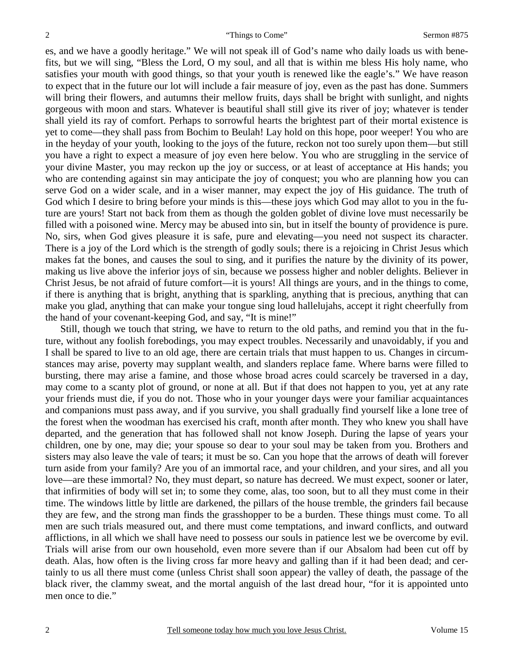es, and we have a goodly heritage." We will not speak ill of God's name who daily loads us with benefits, but we will sing, "Bless the Lord, O my soul, and all that is within me bless His holy name, who satisfies your mouth with good things, so that your youth is renewed like the eagle's." We have reason to expect that in the future our lot will include a fair measure of joy, even as the past has done. Summers will bring their flowers, and autumns their mellow fruits, days shall be bright with sunlight, and nights gorgeous with moon and stars. Whatever is beautiful shall still give its river of joy; whatever is tender shall yield its ray of comfort. Perhaps to sorrowful hearts the brightest part of their mortal existence is yet to come—they shall pass from Bochim to Beulah! Lay hold on this hope, poor weeper! You who are in the heyday of your youth, looking to the joys of the future, reckon not too surely upon them—but still you have a right to expect a measure of joy even here below. You who are struggling in the service of your divine Master, you may reckon up the joy or success, or at least of acceptance at His hands; you who are contending against sin may anticipate the joy of conquest; you who are planning how you can serve God on a wider scale, and in a wiser manner, may expect the joy of His guidance. The truth of God which I desire to bring before your minds is this—these joys which God may allot to you in the future are yours! Start not back from them as though the golden goblet of divine love must necessarily be filled with a poisoned wine. Mercy may be abused into sin, but in itself the bounty of providence is pure. No, sirs, when God gives pleasure it is safe, pure and elevating—you need not suspect its character. There is a joy of the Lord which is the strength of godly souls; there is a rejoicing in Christ Jesus which makes fat the bones, and causes the soul to sing, and it purifies the nature by the divinity of its power, making us live above the inferior joys of sin, because we possess higher and nobler delights. Believer in Christ Jesus, be not afraid of future comfort—it is yours! All things are yours, and in the things to come, if there is anything that is bright, anything that is sparkling, anything that is precious, anything that can make you glad, anything that can make your tongue sing loud hallelujahs, accept it right cheerfully from the hand of your covenant-keeping God, and say, "It is mine!"

 Still, though we touch that string, we have to return to the old paths, and remind you that in the future, without any foolish forebodings, you may expect troubles. Necessarily and unavoidably, if you and I shall be spared to live to an old age, there are certain trials that must happen to us. Changes in circumstances may arise, poverty may supplant wealth, and slanders replace fame. Where barns were filled to bursting, there may arise a famine, and those whose broad acres could scarcely be traversed in a day, may come to a scanty plot of ground, or none at all. But if that does not happen to you, yet at any rate your friends must die, if you do not. Those who in your younger days were your familiar acquaintances and companions must pass away, and if you survive, you shall gradually find yourself like a lone tree of the forest when the woodman has exercised his craft, month after month. They who knew you shall have departed, and the generation that has followed shall not know Joseph. During the lapse of years your children, one by one, may die; your spouse so dear to your soul may be taken from you. Brothers and sisters may also leave the vale of tears; it must be so. Can you hope that the arrows of death will forever turn aside from your family? Are you of an immortal race, and your children, and your sires, and all you love—are these immortal? No, they must depart, so nature has decreed. We must expect, sooner or later, that infirmities of body will set in; to some they come, alas, too soon, but to all they must come in their time. The windows little by little are darkened, the pillars of the house tremble, the grinders fail because they are few, and the strong man finds the grasshopper to be a burden. These things must come. To all men are such trials measured out, and there must come temptations, and inward conflicts, and outward afflictions, in all which we shall have need to possess our souls in patience lest we be overcome by evil. Trials will arise from our own household, even more severe than if our Absalom had been cut off by death. Alas, how often is the living cross far more heavy and galling than if it had been dead; and certainly to us all there must come (unless Christ shall soon appear) the valley of death, the passage of the black river, the clammy sweat, and the mortal anguish of the last dread hour, "for it is appointed unto men once to die."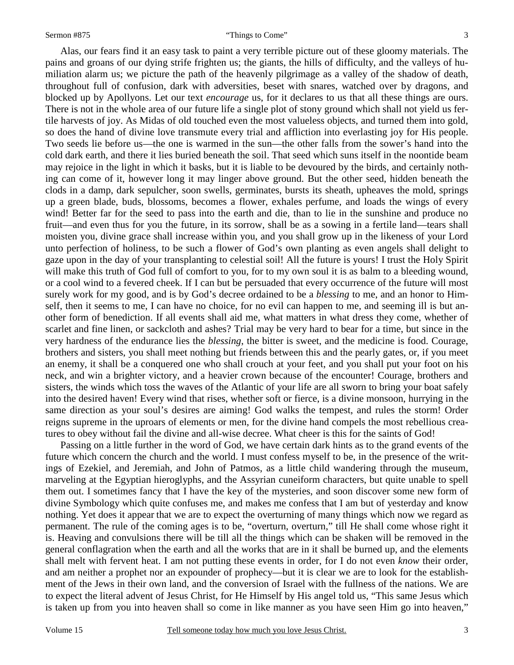#### Sermon #875 "Things to Come"

 Alas, our fears find it an easy task to paint a very terrible picture out of these gloomy materials. The pains and groans of our dying strife frighten us; the giants, the hills of difficulty, and the valleys of humiliation alarm us; we picture the path of the heavenly pilgrimage as a valley of the shadow of death, throughout full of confusion, dark with adversities, beset with snares, watched over by dragons, and blocked up by Apollyons. Let our text *encourage* us, for it declares to us that all these things are ours. There is not in the whole area of our future life a single plot of stony ground which shall not yield us fertile harvests of joy. As Midas of old touched even the most valueless objects, and turned them into gold, so does the hand of divine love transmute every trial and affliction into everlasting joy for His people. Two seeds lie before us—the one is warmed in the sun—the other falls from the sower's hand into the cold dark earth, and there it lies buried beneath the soil. That seed which suns itself in the noontide beam may rejoice in the light in which it basks, but it is liable to be devoured by the birds, and certainly nothing can come of it, however long it may linger above ground. But the other seed, hidden beneath the clods in a damp, dark sepulcher, soon swells, germinates, bursts its sheath, upheaves the mold, springs up a green blade, buds, blossoms, becomes a flower, exhales perfume, and loads the wings of every wind! Better far for the seed to pass into the earth and die, than to lie in the sunshine and produce no fruit—and even thus for you the future, in its sorrow, shall be as a sowing in a fertile land—tears shall moisten you, divine grace shall increase within you, and you shall grow up in the likeness of your Lord unto perfection of holiness, to be such a flower of God's own planting as even angels shall delight to gaze upon in the day of your transplanting to celestial soil! All the future is yours! I trust the Holy Spirit will make this truth of God full of comfort to you, for to my own soul it is as balm to a bleeding wound, or a cool wind to a fevered cheek. If I can but be persuaded that every occurrence of the future will most surely work for my good, and is by God's decree ordained to be a *blessing* to me, and an honor to Himself, then it seems to me, I can have no choice, for no evil can happen to me, and seeming ill is but another form of benediction. If all events shall aid me, what matters in what dress they come, whether of scarlet and fine linen, or sackcloth and ashes? Trial may be very hard to bear for a time, but since in the very hardness of the endurance lies the *blessing*, the bitter is sweet, and the medicine is food. Courage, brothers and sisters, you shall meet nothing but friends between this and the pearly gates, or, if you meet an enemy, it shall be a conquered one who shall crouch at your feet, and you shall put your foot on his neck, and win a brighter victory, and a heavier crown because of the encounter! Courage, brothers and sisters, the winds which toss the waves of the Atlantic of your life are all sworn to bring your boat safely into the desired haven! Every wind that rises, whether soft or fierce, is a divine monsoon, hurrying in the same direction as your soul's desires are aiming! God walks the tempest, and rules the storm! Order reigns supreme in the uproars of elements or men, for the divine hand compels the most rebellious creatures to obey without fail the divine and all-wise decree. What cheer is this for the saints of God!

 Passing on a little further in the word of God, we have certain dark hints as to the grand events of the future which concern the church and the world. I must confess myself to be, in the presence of the writings of Ezekiel, and Jeremiah, and John of Patmos, as a little child wandering through the museum, marveling at the Egyptian hieroglyphs, and the Assyrian cuneiform characters, but quite unable to spell them out. I sometimes fancy that I have the key of the mysteries, and soon discover some new form of divine Symbology which quite confuses me, and makes me confess that I am but of yesterday and know nothing. Yet does it appear that we are to expect the overturning of many things which now we regard as permanent. The rule of the coming ages is to be, "overturn, overturn," till He shall come whose right it is. Heaving and convulsions there will be till all the things which can be shaken will be removed in the general conflagration when the earth and all the works that are in it shall be burned up, and the elements shall melt with fervent heat. I am not putting these events in order, for I do not even *know* their order, and am neither a prophet nor an expounder of prophecy—but it is clear we are to look for the establishment of the Jews in their own land, and the conversion of Israel with the fullness of the nations. We are to expect the literal advent of Jesus Christ, for He Himself by His angel told us, "This same Jesus which is taken up from you into heaven shall so come in like manner as you have seen Him go into heaven,"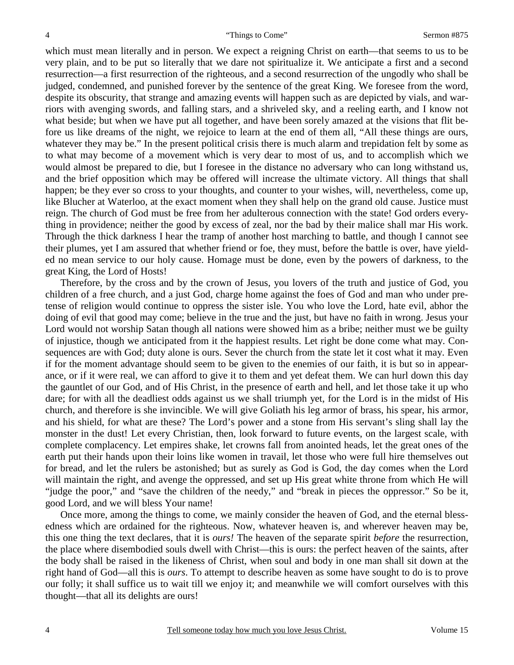which must mean literally and in person. We expect a reigning Christ on earth—that seems to us to be very plain, and to be put so literally that we dare not spiritualize it. We anticipate a first and a second resurrection—a first resurrection of the righteous, and a second resurrection of the ungodly who shall be judged, condemned, and punished forever by the sentence of the great King. We foresee from the word, despite its obscurity, that strange and amazing events will happen such as are depicted by vials, and warriors with avenging swords, and falling stars, and a shriveled sky, and a reeling earth, and I know not what beside; but when we have put all together, and have been sorely amazed at the visions that flit before us like dreams of the night, we rejoice to learn at the end of them all, "All these things are ours, whatever they may be." In the present political crisis there is much alarm and trepidation felt by some as to what may become of a movement which is very dear to most of us, and to accomplish which we would almost be prepared to die, but I foresee in the distance no adversary who can long withstand us, and the brief opposition which may be offered will increase the ultimate victory. All things that shall happen; be they ever so cross to your thoughts, and counter to your wishes, will, nevertheless, come up, like Blucher at Waterloo, at the exact moment when they shall help on the grand old cause. Justice must reign. The church of God must be free from her adulterous connection with the state! God orders everything in providence; neither the good by excess of zeal, nor the bad by their malice shall mar His work. Through the thick darkness I hear the tramp of another host marching to battle, and though I cannot see their plumes, yet I am assured that whether friend or foe, they must, before the battle is over, have yielded no mean service to our holy cause. Homage must be done, even by the powers of darkness, to the great King, the Lord of Hosts!

 Therefore, by the cross and by the crown of Jesus, you lovers of the truth and justice of God, you children of a free church, and a just God, charge home against the foes of God and man who under pretense of religion would continue to oppress the sister isle. You who love the Lord, hate evil, abhor the doing of evil that good may come; believe in the true and the just, but have no faith in wrong. Jesus your Lord would not worship Satan though all nations were showed him as a bribe; neither must we be guilty of injustice, though we anticipated from it the happiest results. Let right be done come what may. Consequences are with God; duty alone is ours. Sever the church from the state let it cost what it may. Even if for the moment advantage should seem to be given to the enemies of our faith, it is but so in appearance, or if it were real, we can afford to give it to them and yet defeat them. We can hurl down this day the gauntlet of our God, and of His Christ, in the presence of earth and hell, and let those take it up who dare; for with all the deadliest odds against us we shall triumph yet, for the Lord is in the midst of His church, and therefore is she invincible. We will give Goliath his leg armor of brass, his spear, his armor, and his shield, for what are these? The Lord's power and a stone from His servant's sling shall lay the monster in the dust! Let every Christian, then, look forward to future events, on the largest scale, with complete complacency. Let empires shake, let crowns fall from anointed heads, let the great ones of the earth put their hands upon their loins like women in travail, let those who were full hire themselves out for bread, and let the rulers be astonished; but as surely as God is God, the day comes when the Lord will maintain the right, and avenge the oppressed, and set up His great white throne from which He will "judge the poor," and "save the children of the needy," and "break in pieces the oppressor." So be it, good Lord, and we will bless Your name!

 Once more, among the things to come, we mainly consider the heaven of God, and the eternal blessedness which are ordained for the righteous. Now, whatever heaven is, and wherever heaven may be, this one thing the text declares, that it is *ours!* The heaven of the separate spirit *before* the resurrection, the place where disembodied souls dwell with Christ—this is ours: the perfect heaven of the saints, after the body shall be raised in the likeness of Christ, when soul and body in one man shall sit down at the right hand of God—all this is *ours*. To attempt to describe heaven as some have sought to do is to prove our folly; it shall suffice us to wait till we enjoy it; and meanwhile we will comfort ourselves with this thought—that all its delights are ours!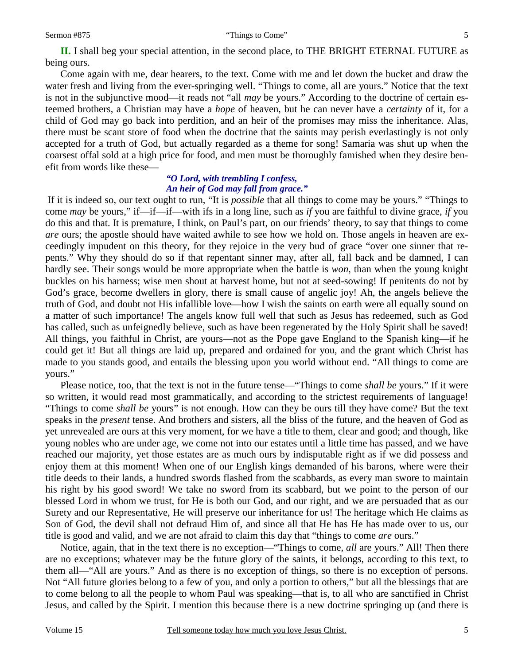#### Sermon #875 "Things to Come"

**II.** I shall beg your special attention, in the second place, to THE BRIGHT ETERNAL FUTURE as being ours.

 Come again with me, dear hearers, to the text. Come with me and let down the bucket and draw the water fresh and living from the ever-springing well. "Things to come, all are yours." Notice that the text is not in the subjunctive mood—it reads not "all *may* be yours." According to the doctrine of certain esteemed brothers, a Christian may have a *hope* of heaven, but he can never have a *certainty* of it, for a child of God may go back into perdition, and an heir of the promises may miss the inheritance. Alas, there must be scant store of food when the doctrine that the saints may perish everlastingly is not only accepted for a truth of God, but actually regarded as a theme for song! Samaria was shut up when the coarsest offal sold at a high price for food, and men must be thoroughly famished when they desire benefit from words like these—

### *"O Lord, with trembling I confess, An heir of God may fall from grace."*

If it is indeed so, our text ought to run, "It is *possible* that all things to come may be yours." "Things to come *may* be yours," if—if—if—with ifs in a long line, such as *if* you are faithful to divine grace, *if* you do this and that. It is premature, I think, on Paul's part, on our friends' theory, to say that things to come *are* ours; the apostle should have waited awhile to see how we hold on. Those angels in heaven are exceedingly impudent on this theory, for they rejoice in the very bud of grace "over one sinner that repents." Why they should do so if that repentant sinner may, after all, fall back and be damned, I can hardly see. Their songs would be more appropriate when the battle is *won*, than when the young knight buckles on his harness; wise men shout at harvest home, but not at seed-sowing! If penitents do not by God's grace, become dwellers in glory, there is small cause of angelic joy! Ah, the angels believe the truth of God, and doubt not His infallible love—how I wish the saints on earth were all equally sound on a matter of such importance! The angels know full well that such as Jesus has redeemed, such as God has called, such as unfeignedly believe, such as have been regenerated by the Holy Spirit shall be saved! All things, you faithful in Christ, are yours—not as the Pope gave England to the Spanish king—if he could get it! But all things are laid up, prepared and ordained for you, and the grant which Christ has made to you stands good, and entails the blessing upon you world without end. "All things to come are yours."

 Please notice, too, that the text is not in the future tense—"Things to come *shall be* yours." If it were so written, it would read most grammatically, and according to the strictest requirements of language! "Things to come *shall be* yours" is not enough. How can they be ours till they have come? But the text speaks in the *present* tense. And brothers and sisters, all the bliss of the future, and the heaven of God as yet unrevealed are ours at this very moment, for we have a title to them, clear and good; and though, like young nobles who are under age, we come not into our estates until a little time has passed, and we have reached our majority, yet those estates are as much ours by indisputable right as if we did possess and enjoy them at this moment! When one of our English kings demanded of his barons, where were their title deeds to their lands, a hundred swords flashed from the scabbards, as every man swore to maintain his right by his good sword! We take no sword from its scabbard, but we point to the person of our blessed Lord in whom we trust, for He is both our God, and our right, and we are persuaded that as our Surety and our Representative, He will preserve our inheritance for us! The heritage which He claims as Son of God, the devil shall not defraud Him of, and since all that He has He has made over to us, our title is good and valid, and we are not afraid to claim this day that "things to come *are* ours."

 Notice, again, that in the text there is no exception—"Things to come, *all* are yours." All! Then there are no exceptions; whatever may be the future glory of the saints, it belongs, according to this text, to them all—"All are yours." And as there is no exception of things, so there is no exception of persons. Not "All future glories belong to a few of you, and only a portion to others," but all the blessings that are to come belong to all the people to whom Paul was speaking—that is, to all who are sanctified in Christ Jesus, and called by the Spirit. I mention this because there is a new doctrine springing up (and there is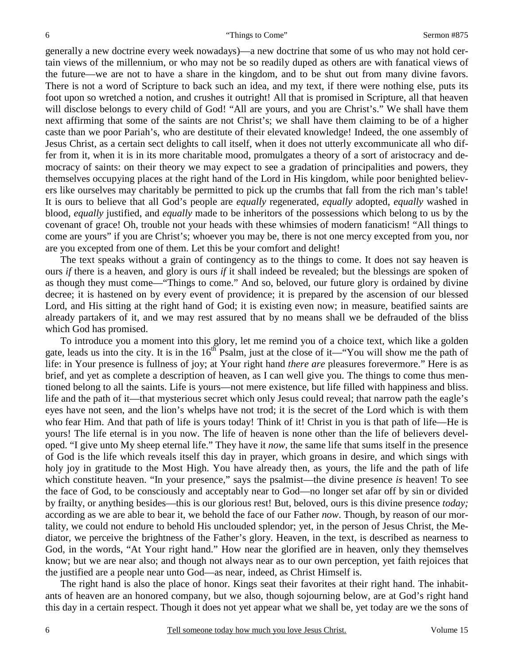generally a new doctrine every week nowadays)—a new doctrine that some of us who may not hold certain views of the millennium, or who may not be so readily duped as others are with fanatical views of the future—we are not to have a share in the kingdom, and to be shut out from many divine favors. There is not a word of Scripture to back such an idea, and my text, if there were nothing else, puts its foot upon so wretched a notion, and crushes it outright! All that is promised in Scripture, all that heaven will disclose belongs to every child of God! "All are yours, and you are Christ's." We shall have them next affirming that some of the saints are not Christ's; we shall have them claiming to be of a higher caste than we poor Pariah's, who are destitute of their elevated knowledge! Indeed, the one assembly of Jesus Christ, as a certain sect delights to call itself, when it does not utterly excommunicate all who differ from it, when it is in its more charitable mood, promulgates a theory of a sort of aristocracy and democracy of saints: on their theory we may expect to see a gradation of principalities and powers, they themselves occupying places at the right hand of the Lord in His kingdom, while poor benighted believers like ourselves may charitably be permitted to pick up the crumbs that fall from the rich man's table! It is ours to believe that all God's people are *equally* regenerated, *equally* adopted, *equally* washed in blood, *equally* justified, and *equally* made to be inheritors of the possessions which belong to us by the covenant of grace! Oh, trouble not your heads with these whimsies of modern fanaticism! "All things to come are yours" if you are Christ's; whoever you may be, there is not one mercy excepted from you, nor are you excepted from one of them. Let this be your comfort and delight!

 The text speaks without a grain of contingency as to the things to come. It does not say heaven is ours *if* there is a heaven, and glory is ours *if* it shall indeed be revealed; but the blessings are spoken of as though they must come—"Things to come." And so, beloved, our future glory is ordained by divine decree; it is hastened on by every event of providence; it is prepared by the ascension of our blessed Lord, and His sitting at the right hand of God; it is existing even now; in measure, beatified saints are already partakers of it, and we may rest assured that by no means shall we be defrauded of the bliss which God has promised.

 To introduce you a moment into this glory, let me remind you of a choice text, which like a golden gate, leads us into the city. It is in the  $16<sup>th</sup>$  Psalm, just at the close of it—"You will show me the path of life: in Your presence is fullness of joy; at Your right hand *there are* pleasures forevermore." Here is as brief, and yet as complete a description of heaven, as I can well give you. The things to come thus mentioned belong to all the saints. Life is yours—not mere existence, but life filled with happiness and bliss. life and the path of it—that mysterious secret which only Jesus could reveal; that narrow path the eagle's eyes have not seen, and the lion's whelps have not trod; it is the secret of the Lord which is with them who fear Him. And that path of life is yours today! Think of it! Christ in you is that path of life—He is yours! The life eternal is in you now. The life of heaven is none other than the life of believers developed. "I give unto My sheep eternal life." They have it *now*, the same life that sums itself in the presence of God is the life which reveals itself this day in prayer, which groans in desire, and which sings with holy joy in gratitude to the Most High. You have already then, as yours, the life and the path of life which constitute heaven. "In your presence," says the psalmist—the divine presence *is* heaven! To see the face of God, to be consciously and acceptably near to God—no longer set afar off by sin or divided by frailty, or anything besides—this is our glorious rest! But, beloved, ours is this divine presence *today;*  according as we are able to bear it, we behold the face of our Father *now*. Though, by reason of our mortality, we could not endure to behold His unclouded splendor; yet, in the person of Jesus Christ, the Mediator, we perceive the brightness of the Father's glory. Heaven, in the text, is described as nearness to God, in the words, "At Your right hand." How near the glorified are in heaven, only they themselves know; but we are near also; and though not always near as to our own perception, yet faith rejoices that the justified are a people near unto God—as near, indeed, as Christ Himself is.

 The right hand is also the place of honor. Kings seat their favorites at their right hand. The inhabitants of heaven are an honored company, but we also, though sojourning below, are at God's right hand this day in a certain respect. Though it does not yet appear what we shall be, yet today are we the sons of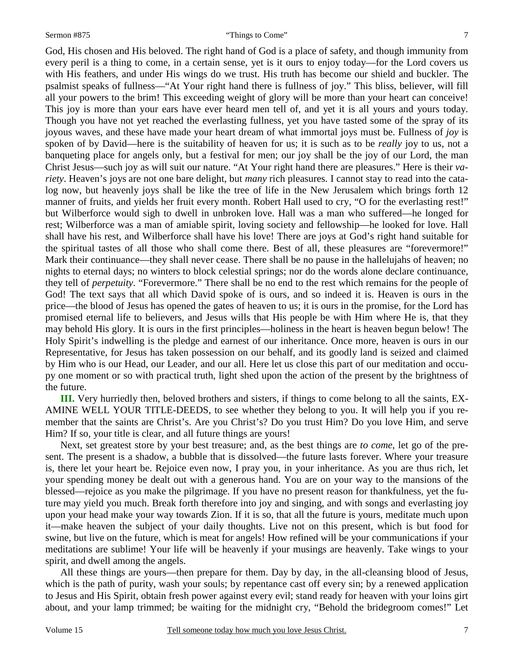#### Sermon #875 "Things to Come"

God, His chosen and His beloved. The right hand of God is a place of safety, and though immunity from every peril is a thing to come, in a certain sense, yet is it ours to enjoy today—for the Lord covers us with His feathers, and under His wings do we trust. His truth has become our shield and buckler. The psalmist speaks of fullness—"At Your right hand there is fullness of joy." This bliss, believer, will fill all your powers to the brim! This exceeding weight of glory will be more than your heart can conceive! This joy is more than your ears have ever heard men tell of, and yet it is all yours and yours today. Though you have not yet reached the everlasting fullness, yet you have tasted some of the spray of its joyous waves, and these have made your heart dream of what immortal joys must be. Fullness of *joy* is spoken of by David—here is the suitability of heaven for us; it is such as to be *really* joy to us, not a banqueting place for angels only, but a festival for men; our joy shall be the joy of our Lord, the man Christ Jesus—such joy as will suit our nature. "At Your right hand there are pleasures." Here is their *variety*. Heaven's joys are not one bare delight, but *many* rich pleasures. I cannot stay to read into the catalog now, but heavenly joys shall be like the tree of life in the New Jerusalem which brings forth 12 manner of fruits, and yields her fruit every month. Robert Hall used to cry, "O for the everlasting rest!" but Wilberforce would sigh to dwell in unbroken love. Hall was a man who suffered—he longed for rest; Wilberforce was a man of amiable spirit, loving society and fellowship—he looked for love. Hall shall have his rest, and Wilberforce shall have his love! There are joys at God's right hand suitable for the spiritual tastes of all those who shall come there. Best of all, these pleasures are "forevermore!" Mark their continuance—they shall never cease. There shall be no pause in the hallelujahs of heaven; no nights to eternal days; no winters to block celestial springs; nor do the words alone declare continuance, they tell of *perpetuity*. "Forevermore." There shall be no end to the rest which remains for the people of God! The text says that all which David spoke of is ours, and so indeed it is. Heaven is ours in the price—the blood of Jesus has opened the gates of heaven to us; it is ours in the promise, for the Lord has promised eternal life to believers, and Jesus wills that His people be with Him where He is, that they may behold His glory. It is ours in the first principles—holiness in the heart is heaven begun below! The Holy Spirit's indwelling is the pledge and earnest of our inheritance. Once more, heaven is ours in our Representative, for Jesus has taken possession on our behalf, and its goodly land is seized and claimed by Him who is our Head, our Leader, and our all. Here let us close this part of our meditation and occupy one moment or so with practical truth, light shed upon the action of the present by the brightness of the future.

**III.** Very hurriedly then, beloved brothers and sisters, if things to come belong to all the saints, EX-AMINE WELL YOUR TITLE-DEEDS, to see whether they belong to you. It will help you if you remember that the saints are Christ's. Are you Christ's? Do you trust Him? Do you love Him, and serve Him? If so, your title is clear, and all future things are yours!

 Next, set greatest store by your best treasure; and, as the best things are *to come*, let go of the present. The present is a shadow, a bubble that is dissolved—the future lasts forever. Where your treasure is, there let your heart be. Rejoice even now, I pray you, in your inheritance. As you are thus rich, let your spending money be dealt out with a generous hand. You are on your way to the mansions of the blessed—rejoice as you make the pilgrimage. If you have no present reason for thankfulness, yet the future may yield you much. Break forth therefore into joy and singing, and with songs and everlasting joy upon your head make your way towards Zion. If it is so, that all the future is yours, meditate much upon it—make heaven the subject of your daily thoughts. Live not on this present, which is but food for swine, but live on the future, which is meat for angels! How refined will be your communications if your meditations are sublime! Your life will be heavenly if your musings are heavenly. Take wings to your spirit, and dwell among the angels.

 All these things are yours—then prepare for them. Day by day, in the all-cleansing blood of Jesus, which is the path of purity, wash your souls; by repentance cast off every sin; by a renewed application to Jesus and His Spirit, obtain fresh power against every evil; stand ready for heaven with your loins girt about, and your lamp trimmed; be waiting for the midnight cry, "Behold the bridegroom comes!" Let